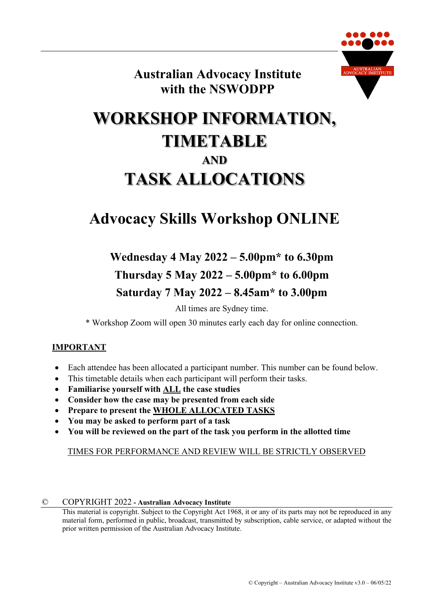

**Australian Advocacy Institute with the NSWODPP**

# **WORKSHOP INFORMATION, TIMETABLE AND TASK ALLOCATIONS**

# **Advocacy Skills Workshop ONLINE**

# **Wednesday 4 May 2022 – 5.00pm\* to 6.30pm Thursday 5 May 2022 – 5.00pm\* to 6.00pm Saturday 7 May 2022 – 8.45am\* to 3.00pm**

All times are Sydney time.

\* Workshop Zoom will open 30 minutes early each day for online connection.

#### **IMPORTANT**

- Each attendee has been allocated a participant number. This number can be found below.
- This timetable details when each participant will perform their tasks.
- **Familiarise yourself with ALL the case studies**
- **Consider how the case may be presented from each side**
- **Prepare to present the WHOLE ALLOCATED TASKS**
- **You may be asked to perform part of a task**
- **You will be reviewed on the part of the task you perform in the allotted time**

#### TIMES FOR PERFORMANCE AND REVIEW WILL BE STRICTLY OBSERVED

#### © COPYRIGHT 2022 **- Australian Advocacy Institute**

This material is copyright. Subject to the Copyright Act 1968, it or any of its parts may not be reproduced in any material form, performed in public, broadcast, transmitted by subscription, cable service, or adapted without the prior written permission of the Australian Advocacy Institute.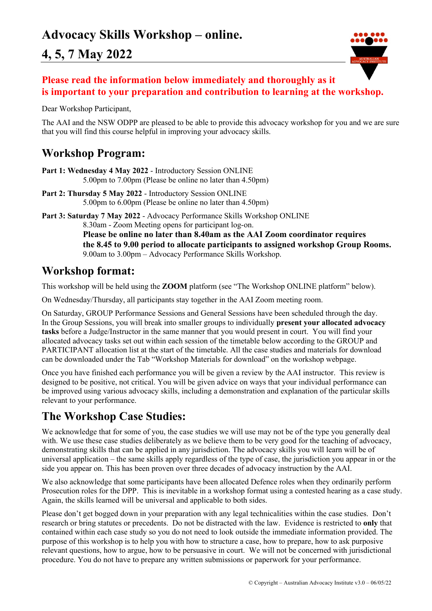

### **Please read the information below immediately and thoroughly as it is important to your preparation and contribution to learning at the workshop.**

Dear Workshop Participant,

The AAI and the NSW ODPP are pleased to be able to provide this advocacy workshop for you and we are sure that you will find this course helpful in improving your advocacy skills.

### **Workshop Program:**

- **Part 1: Wednesday 4 May 2022** Introductory Session ONLINE 5.00pm to 7.00pm (Please be online no later than 4.50pm)
- **Part 2: Thursday 5 May 2022** Introductory Session ONLINE 5.00pm to 6.00pm (Please be online no later than 4.50pm)
- **Part 3: Saturday 7 May 2022**  Advocacy Performance Skills Workshop ONLINE 8.30am - Zoom Meeting opens for participant log-on. **Please be online no later than 8.40am as the AAI Zoom coordinator requires the 8.45 to 9.00 period to allocate participants to assigned workshop Group Rooms.** 9.00am to 3.00pm – Advocacy Performance Skills Workshop.

### **Workshop format:**

This workshop will be held using the **ZOOM** platform (see "The Workshop ONLINE platform" below).

On Wednesday/Thursday, all participants stay together in the AAI Zoom meeting room.

On Saturday, GROUP Performance Sessions and General Sessions have been scheduled through the day. In the Group Sessions, you will break into smaller groups to individually **present your allocated advocacy tasks** before a Judge/Instructor in the same manner that you would present in court. You will find your allocated advocacy tasks set out within each session of the timetable below according to the GROUP and PARTICIPANT allocation list at the start of the timetable. All the case studies and materials for download can be downloaded under the Tab "Workshop Materials for download" on the workshop webpage.

Once you have finished each performance you will be given a review by the AAI instructor. This review is designed to be positive, not critical. You will be given advice on ways that your individual performance can be improved using various advocacy skills, including a demonstration and explanation of the particular skills relevant to your performance.

### **The Workshop Case Studies:**

We acknowledge that for some of you, the case studies we will use may not be of the type you generally deal with. We use these case studies deliberately as we believe them to be very good for the teaching of advocacy, demonstrating skills that can be applied in any jurisdiction. The advocacy skills you will learn will be of universal application – the same skills apply regardless of the type of case, the jurisdiction you appear in or the side you appear on. This has been proven over three decades of advocacy instruction by the AAI.

We also acknowledge that some participants have been allocated Defence roles when they ordinarily perform Prosecution roles for the DPP. This is inevitable in a workshop format using a contested hearing as a case study. Again, the skills learned will be universal and applicable to both sides.

Please don't get bogged down in your preparation with any legal technicalities within the case studies. Don't research or bring statutes or precedents. Do not be distracted with the law. Evidence is restricted to **only** that contained within each case study so you do not need to look outside the immediate information provided. The purpose of this workshop is to help you with how to structure a case, how to prepare, how to ask purposive relevant questions, how to argue, how to be persuasive in court. We will not be concerned with jurisdictional procedure. You do not have to prepare any written submissions or paperwork for your performance.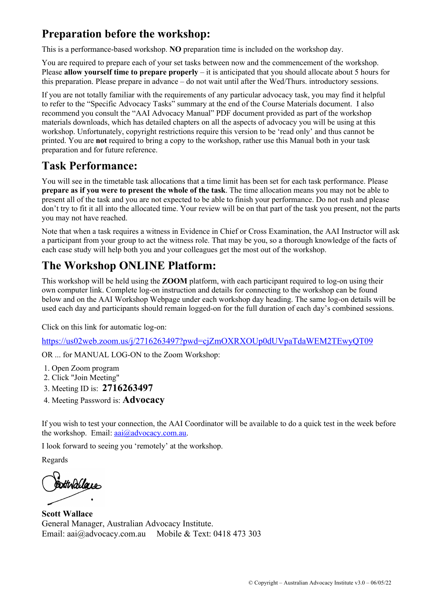## **Preparation before the workshop:**

This is a performance-based workshop. **NO** preparation time is included on the workshop day.

You are required to prepare each of your set tasks between now and the commencement of the workshop. Please **allow yourself time to prepare properly** – it is anticipated that you should allocate about 5 hours for this preparation. Please prepare in advance – do not wait until after the Wed/Thurs. introductory sessions.

If you are not totally familiar with the requirements of any particular advocacy task, you may find it helpful to refer to the "Specific Advocacy Tasks" summary at the end of the Course Materials document. I also recommend you consult the "AAI Advocacy Manual" PDF document provided as part of the workshop materials downloads, which has detailed chapters on all the aspects of advocacy you will be using at this workshop. Unfortunately, copyright restrictions require this version to be 'read only' and thus cannot be printed. You are **not** required to bring a copy to the workshop, rather use this Manual both in your task preparation and for future reference.

## **Task Performance:**

You will see in the timetable task allocations that a time limit has been set for each task performance. Please **prepare as if you were to present the whole of the task**. The time allocation means you may not be able to present all of the task and you are not expected to be able to finish your performance. Do not rush and please don't try to fit it all into the allocated time. Your review will be on that part of the task you present, not the parts you may not have reached.

Note that when a task requires a witness in Evidence in Chief or Cross Examination, the AAI Instructor will ask a participant from your group to act the witness role. That may be you, so a thorough knowledge of the facts of each case study will help both you and your colleagues get the most out of the workshop.

# **The Workshop ONLINE Platform:**

This workshop will be held using the **ZOOM** platform, with each participant required to log-on using their own computer link. Complete log-on instruction and details for connecting to the workshop can be found below and on the AAI Workshop Webpage under each workshop day heading. The same log-on details will be used each day and participants should remain logged-on for the full duration of each day's combined sessions.

Click on this link for automatic log-on:

https://us02web.zoom.us/j/2716263497?pwd=cjZmOXRXOUp0dUVpaTdaWEM2TEwyQT09

OR ... for MANUAL LOG-ON to the Zoom Workshop:

- 1. Open Zoom program
- 2. Click "Join Meeting"
- 3. Meeting ID is: **2716263497**
- 4. Meeting Password is: **Advocacy**

If you wish to test your connection, the AAI Coordinator will be available to do a quick test in the week before the workshop. Email:  $aai@advocacy.com.au$ .

I look forward to seeing you 'remotely' at the workshop.

Regards

**Sotthallque** 

**Scott Wallace** General Manager, Australian Advocacy Institute. Email: aai@advocacy.com.au Mobile & Text: 0418 473 303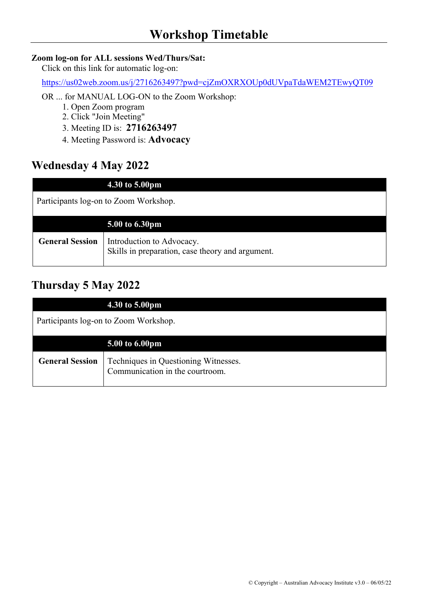#### **Zoom log-on for ALL sessions Wed/Thurs/Sat:**

Click on this link for automatic log-on:

https://us02web.zoom.us/j/2716263497?pwd=cjZmOXRXOUp0dUVpaTdaWEM2TEwyQT09

OR ... for MANUAL LOG-ON to the Zoom Workshop:

- 1. Open Zoom program
- 2. Click "Join Meeting"
- 3. Meeting ID is: **2716263497**
- 4. Meeting Password is: **Advocacy**

### **Wednesday 4 May 2022**

|                                       | 4.30 to 5.00pm                                                                |  |
|---------------------------------------|-------------------------------------------------------------------------------|--|
| Participants log-on to Zoom Workshop. |                                                                               |  |
|                                       | 5.00 to 6.30pm                                                                |  |
| <b>General Session</b>                | Introduction to Advocacy.<br>Skills in preparation, case theory and argument. |  |

## **Thursday 5 May 2022**

|                                       | 4.30 to 5.00pm                                                          |
|---------------------------------------|-------------------------------------------------------------------------|
| Participants log-on to Zoom Workshop. |                                                                         |
|                                       | 5.00 to 6.00pm                                                          |
| <b>General Session</b>                | Techniques in Questioning Witnesses.<br>Communication in the courtroom. |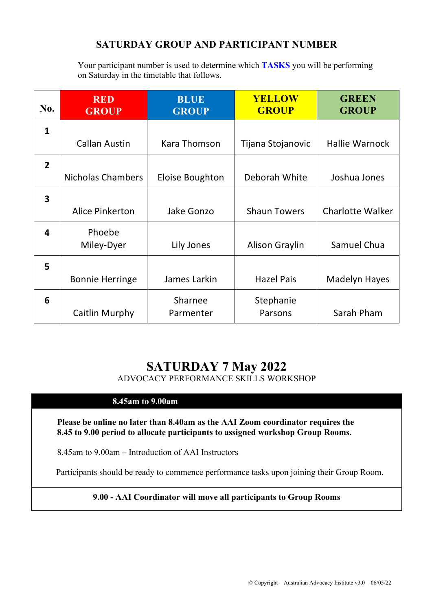### **SATURDAY GROUP AND PARTICIPANT NUMBER**

Your participant number is used to determine which **TASKS** you will be performing on Saturday in the timetable that follows.

| No.                     | <b>RED</b><br><b>GROUP</b> | <b>BLUE</b><br><b>GROUP</b> | <b>YELLOW</b><br><b>GROUP</b> | <b>GREEN</b><br><b>GROUP</b> |
|-------------------------|----------------------------|-----------------------------|-------------------------------|------------------------------|
| 1                       |                            |                             |                               |                              |
|                         | <b>Callan Austin</b>       | Kara Thomson                | Tijana Stojanovic             | <b>Hallie Warnock</b>        |
| $\overline{2}$          |                            |                             |                               |                              |
|                         | <b>Nicholas Chambers</b>   | Eloise Boughton             | Deborah White                 | Joshua Jones                 |
| $\overline{\mathbf{3}}$ |                            |                             |                               |                              |
|                         | Alice Pinkerton            | <b>Jake Gonzo</b>           | <b>Shaun Towers</b>           | <b>Charlotte Walker</b>      |
| 4                       | Phoebe                     |                             |                               |                              |
|                         | Miley-Dyer                 | Lily Jones                  | Alison Graylin                | Samuel Chua                  |
| 5                       |                            |                             |                               |                              |
|                         | <b>Bonnie Herringe</b>     | James Larkin                | <b>Hazel Pais</b>             | <b>Madelyn Hayes</b>         |
| 6                       |                            | Sharnee                     | Stephanie                     |                              |
|                         | Caitlin Murphy             | Parmenter                   | Parsons                       | Sarah Pham                   |

## **SATURDAY 7 May 2022**

ADVOCACY PERFORMANCE SKILLS WORKSHOP

#### **8.45am to 9.00am**

**Please be online no later than 8.40am as the AAI Zoom coordinator requires the 8.45 to 9.00 period to allocate participants to assigned workshop Group Rooms.**

8.45am to 9.00am – Introduction of AAI Instructors

Participants should be ready to commence performance tasks upon joining their Group Room.

#### **9.00 - AAI Coordinator will move all participants to Group Rooms**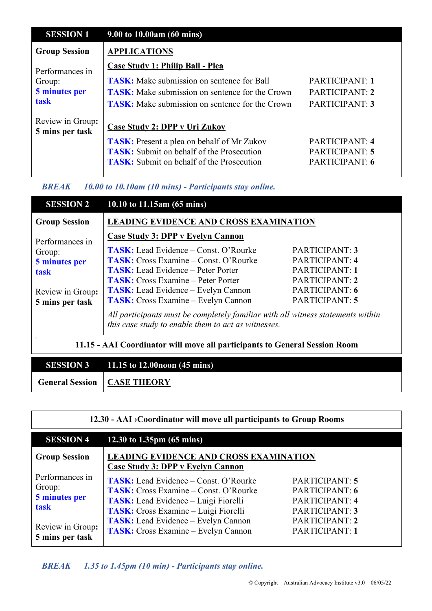| <b>SESSION 1</b>                    | 9.00 to 10.00am (60 mins)                              |                |
|-------------------------------------|--------------------------------------------------------|----------------|
| <b>Group Session</b>                | <b>APPLICATIONS</b>                                    |                |
| Performances in                     | <b>Case Study 1: Philip Ball - Plea</b>                |                |
| Group:                              | <b>TASK:</b> Make submission on sentence for Ball      | PARTICIPANT: 1 |
| 5 minutes per                       | <b>TASK:</b> Make submission on sentence for the Crown | PARTICIPANT: 2 |
| task                                | <b>TASK:</b> Make submission on sentence for the Crown | PARTICIPANT: 3 |
| Review in Group:<br>5 mins per task | <b>Case Study 2: DPP v Uri Zukov</b>                   |                |
|                                     | <b>TASK:</b> Present a plea on behalf of Mr Zukov      | PARTICIPANT: 4 |
|                                     | <b>TASK:</b> Submit on behalf of the Prosecution       | PARTICIPANT: 5 |
|                                     |                                                        |                |
|                                     | <b>TASK:</b> Submit on behalf of the Prosecution       | PARTICIPANT: 6 |

*BREAK 10.00 to 10.10am (10 mins) - Participants stay online.*

| <b>SESSION 2</b>                                                           | 10.10 to 11.15am (65 mins)                                                                                                             |                |  |
|----------------------------------------------------------------------------|----------------------------------------------------------------------------------------------------------------------------------------|----------------|--|
| <b>Group Session</b>                                                       | <b>LEADING EVIDENCE AND CROSS EXAMINATION</b>                                                                                          |                |  |
| Performances in                                                            | Case Study 3: DPP v Evelyn Cannon                                                                                                      |                |  |
| Group:                                                                     | <b>TASK:</b> Lead Evidence – Const. O'Rourke                                                                                           | PARTICIPANT: 3 |  |
| 5 minutes per                                                              | <b>TASK:</b> Cross Examine – Const. O'Rourke                                                                                           | PARTICIPANT: 4 |  |
| task                                                                       | <b>TASK:</b> Lead Evidence – Peter Porter                                                                                              | PARTICIPANT: 1 |  |
|                                                                            | <b>TASK:</b> Cross Examine – Peter Porter                                                                                              | PARTICIPANT: 2 |  |
| Review in Group:                                                           | <b>TASK:</b> Lead Evidence – Evelyn Cannon                                                                                             | PARTICIPANT: 6 |  |
| 5 mins per task                                                            | <b>TASK:</b> Cross Examine – Evelyn Cannon                                                                                             | PARTICIPANT: 5 |  |
|                                                                            | All participants must be completely familiar with all witness statements within<br>this case study to enable them to act as witnesses. |                |  |
| 11.15 - AAI Coordinator will move all participants to General Session Room |                                                                                                                                        |                |  |

| <b>SESSION 3</b> 11.15 to 12.00 noon $(45 \text{ mins})$ |
|----------------------------------------------------------|
| <b>General Session   CASE THEORY</b>                     |

| 12.30 - AAI > Coordinator will move all participants to Group Rooms                       |                                                                                                                                                                                                                                                                                 |                                                                                                          |  |
|-------------------------------------------------------------------------------------------|---------------------------------------------------------------------------------------------------------------------------------------------------------------------------------------------------------------------------------------------------------------------------------|----------------------------------------------------------------------------------------------------------|--|
| <b>SESSION 4</b>                                                                          | 12.30 to 1.35pm $(65 \text{ mins})$                                                                                                                                                                                                                                             |                                                                                                          |  |
| <b>Group Session</b>                                                                      | <b>LEADING EVIDENCE AND CROSS EXAMINATION</b><br><b>Case Study 3: DPP v Evelyn Cannon</b>                                                                                                                                                                                       |                                                                                                          |  |
| Performances in<br>Group:<br>5 minutes per<br>task<br>Review in Group:<br>5 mins per task | <b>TASK:</b> Lead Evidence – Const. O'Rourke<br><b>TASK:</b> Cross Examine – Const. O'Rourke<br><b>TASK:</b> Lead Evidence – Luigi Fiorelli<br>TASK: Cross Examine - Luigi Fiorelli<br><b>TASK:</b> Lead Evidence – Evelyn Cannon<br><b>TASK:</b> Cross Examine – Evelyn Cannon | PARTICIPANT: 5<br>PARTICIPANT: 6<br>PARTICIPANT: 4<br>PARTICIPANT: 3<br>PARTICIPANT: 2<br>PARTICIPANT: 1 |  |

### *BREAK 1.35 to 1.45pm (10 min) - Participants stay online.*